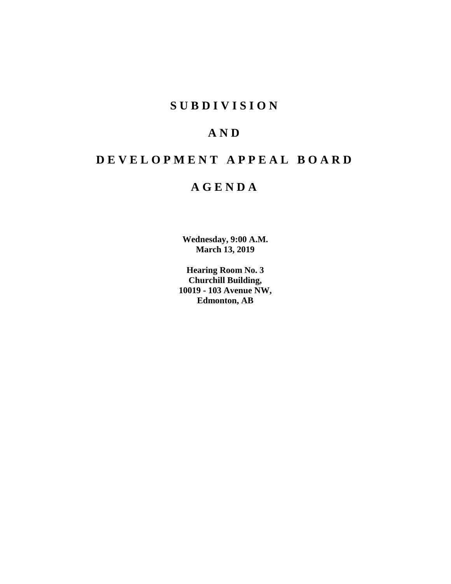# **SUBDIVISION**

# **AND**

# **DEVELOPMENT APPEAL BOARD**

# **AGENDA**

**Wednesday, 9:00 A.M. March 13, 2019**

**Hearing Room No. 3 Churchill Building, 10019 - 103 Avenue NW, Edmonton, AB**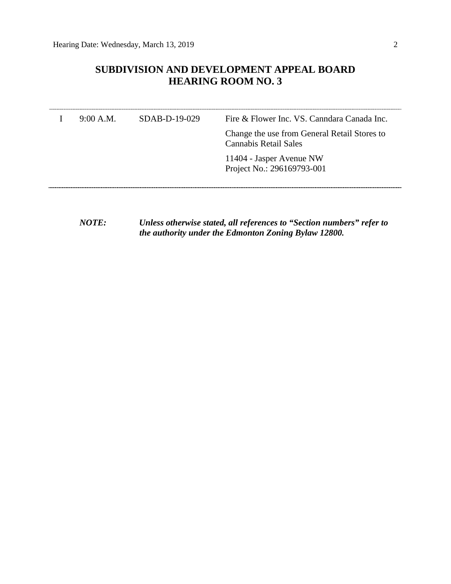# **SUBDIVISION AND DEVELOPMENT APPEAL BOARD HEARING ROOM NO. 3**

| 9:00 A.M. | $SDAB-D-19-029$ | Fire & Flower Inc. VS. Canndara Canada Inc.                                  |
|-----------|-----------------|------------------------------------------------------------------------------|
|           |                 | Change the use from General Retail Stores to<br><b>Cannabis Retail Sales</b> |
|           |                 | 11404 - Jasper Avenue NW<br>Project No.: 296169793-001                       |
|           |                 |                                                                              |

*NOTE: Unless otherwise stated, all references to "Section numbers" refer to the authority under the Edmonton Zoning Bylaw 12800.*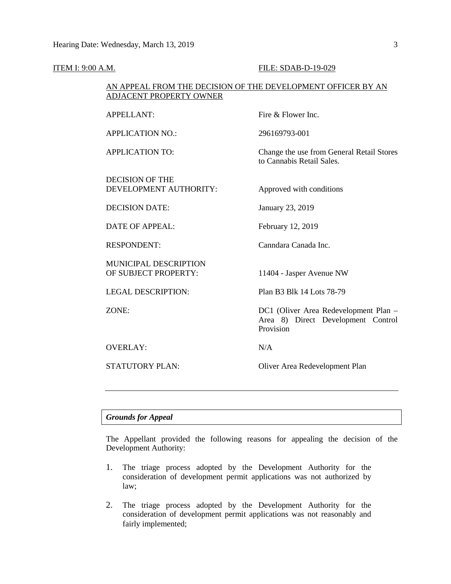| <b>ITEM I: 9:00 A.M.</b> |                                                                                                | FILE: SDAB-D-19-029                                                                      |  |  |  |  |  |
|--------------------------|------------------------------------------------------------------------------------------------|------------------------------------------------------------------------------------------|--|--|--|--|--|
|                          | AN APPEAL FROM THE DECISION OF THE DEVELOPMENT OFFICER BY AN<br><b>ADJACENT PROPERTY OWNER</b> |                                                                                          |  |  |  |  |  |
|                          | <b>APPELLANT:</b>                                                                              | Fire & Flower Inc.                                                                       |  |  |  |  |  |
|                          | <b>APPLICATION NO.:</b>                                                                        | 296169793-001                                                                            |  |  |  |  |  |
|                          | <b>APPLICATION TO:</b>                                                                         | Change the use from General Retail Stores<br>to Cannabis Retail Sales.                   |  |  |  |  |  |
|                          | <b>DECISION OF THE</b><br>DEVELOPMENT AUTHORITY:                                               | Approved with conditions                                                                 |  |  |  |  |  |
|                          | <b>DECISION DATE:</b>                                                                          | January 23, 2019                                                                         |  |  |  |  |  |
|                          | <b>DATE OF APPEAL:</b>                                                                         | February 12, 2019                                                                        |  |  |  |  |  |
|                          | <b>RESPONDENT:</b>                                                                             | Canndara Canada Inc.                                                                     |  |  |  |  |  |
|                          | MUNICIPAL DESCRIPTION<br>OF SUBJECT PROPERTY:                                                  | 11404 - Jasper Avenue NW                                                                 |  |  |  |  |  |
|                          | <b>LEGAL DESCRIPTION:</b>                                                                      | Plan B3 Blk 14 Lots 78-79                                                                |  |  |  |  |  |
|                          | ZONE:                                                                                          | DC1 (Oliver Area Redevelopment Plan -<br>Area 8) Direct Development Control<br>Provision |  |  |  |  |  |
|                          | <b>OVERLAY:</b>                                                                                | N/A                                                                                      |  |  |  |  |  |
|                          | <b>STATUTORY PLAN:</b>                                                                         | Oliver Area Redevelopment Plan                                                           |  |  |  |  |  |
|                          |                                                                                                |                                                                                          |  |  |  |  |  |

# *Grounds for Appeal*

The Appellant provided the following reasons for appealing the decision of the Development Authority:

- 1. The triage process adopted by the Development Authority for the consideration of development permit applications was not authorized by law;
- 2. The triage process adopted by the Development Authority for the consideration of development permit applications was not reasonably and fairly implemented;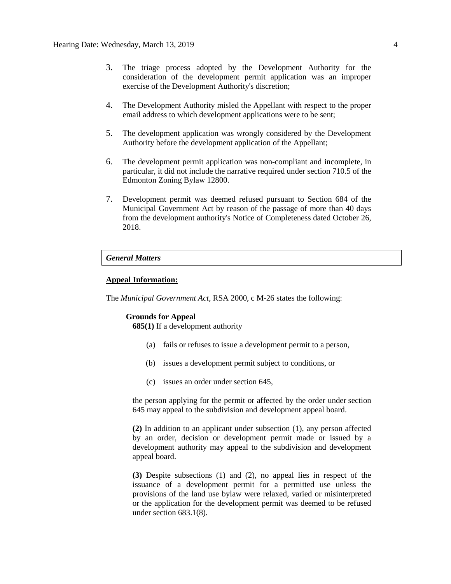- 3. The triage process adopted by the Development Authority for the consideration of the development permit application was an improper exercise of the Development Authority's discretion;
- 4. The Development Authority misled the Appellant with respect to the proper email address to which development applications were to be sent;
- 5. The development application was wrongly considered by the Development Authority before the development application of the Appellant;
- 6. The development permit application was non-compliant and incomplete, in particular, it did not include the narrative required under section 710.5 of the Edmonton Zoning Bylaw 12800.
- 7. Development permit was deemed refused pursuant to Section 684 of the Municipal Government Act by reason of the passage of more than 40 days from the development authority's Notice of Completeness dated October 26, 2018.

### *General Matters*

### **Appeal Information:**

The *Municipal Government Act*, RSA 2000, c M-26 states the following:

#### **Grounds for Appeal**

**685(1)** If a development authority

- (a) fails or refuses to issue a development permit to a person,
- (b) issues a development permit subject to conditions, or
- (c) issues an order under section 645,

the person applying for the permit or affected by the order under section 645 may appeal to the subdivision and development appeal board.

**(2)** In addition to an applicant under subsection (1), any person affected by an order, decision or development permit made or issued by a development authority may appeal to the subdivision and development appeal board.

**(3)** Despite subsections (1) and (2), no appeal lies in respect of the issuance of a development permit for a permitted use unless the provisions of the land use bylaw were relaxed, varied or misinterpreted or the application for the development permit was deemed to be refused under section 683.1(8).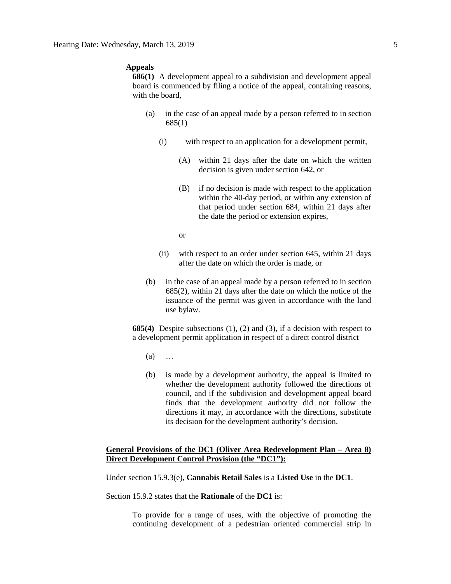#### **Appeals**

**686(1)** A development appeal to a subdivision and development appeal board is commenced by filing a notice of the appeal, containing reasons, with the board,

- (a) in the case of an appeal made by a person referred to in section 685(1)
	- (i) with respect to an application for a development permit,
		- (A) within 21 days after the date on which the written decision is given under section 642, or
		- (B) if no decision is made with respect to the application within the 40-day period, or within any extension of that period under section 684, within 21 days after the date the period or extension expires,

or

- (ii) with respect to an order under section 645, within 21 days after the date on which the order is made, or
- (b) in the case of an appeal made by a person referred to in section 685(2), within 21 days after the date on which the notice of the issuance of the permit was given in accordance with the land use bylaw.

**685(4)** Despite subsections (1), (2) and (3), if a decision with respect to a development permit application in respect of a direct control district

- (a) …
- (b) is made by a development authority, the appeal is limited to whether the development authority followed the directions of council, and if the subdivision and development appeal board finds that the development authority did not follow the directions it may, in accordance with the directions, substitute its decision for the development authority's decision.

# **General Provisions of the DC1 (Oliver Area Redevelopment Plan – Area 8) Direct Development Control Provision (the "DC1"):**

Under section 15.9.3(e), **Cannabis Retail Sales** is a **Listed Use** in the **DC1**.

Section 15.9.2 states that the **Rationale** of the **DC1** is:

To provide for a range of uses, with the objective of promoting the continuing development of a pedestrian oriented commercial strip in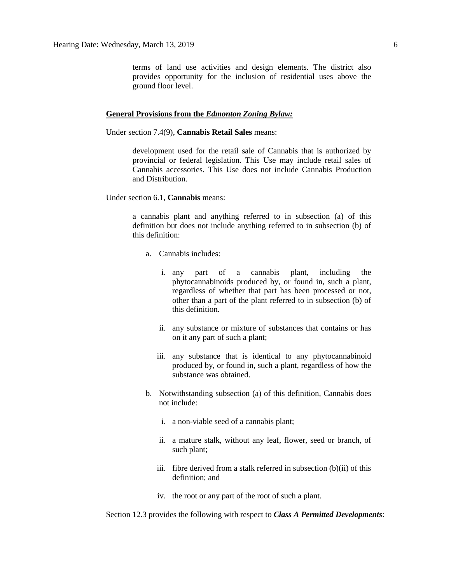terms of land use activities and design elements. The district also provides opportunity for the inclusion of residential uses above the ground floor level.

#### **General Provisions from the** *Edmonton Zoning Bylaw:*

Under section 7.4(9), **Cannabis Retail Sales** means:

development used for the retail sale of Cannabis that is authorized by provincial or federal legislation. This Use may include retail sales of Cannabis accessories. This Use does not include Cannabis Production and Distribution.

Under section 6.1, **Cannabis** means:

a cannabis plant and anything referred to in subsection (a) of this definition but does not include anything referred to in subsection (b) of this definition:

- a. Cannabis includes:
	- i. any part of a cannabis plant, including the phytocannabinoids produced by, or found in, such a plant, regardless of whether that part has been processed or not, other than a part of the plant referred to in subsection (b) of this definition.
	- ii. any substance or mixture of substances that contains or has on it any part of such a plant;
	- iii. any substance that is identical to any phytocannabinoid produced by, or found in, such a plant, regardless of how the substance was obtained.
- b. Notwithstanding subsection (a) of this definition, Cannabis does not include:
	- i. a non-viable seed of a cannabis plant;
	- ii. a mature stalk, without any leaf, flower, seed or branch, of such plant;
	- iii. fibre derived from a stalk referred in subsection (b)(ii) of this definition; and
	- iv. the root or any part of the root of such a plant.

Section 12.3 provides the following with respect to *Class A Permitted Developments*: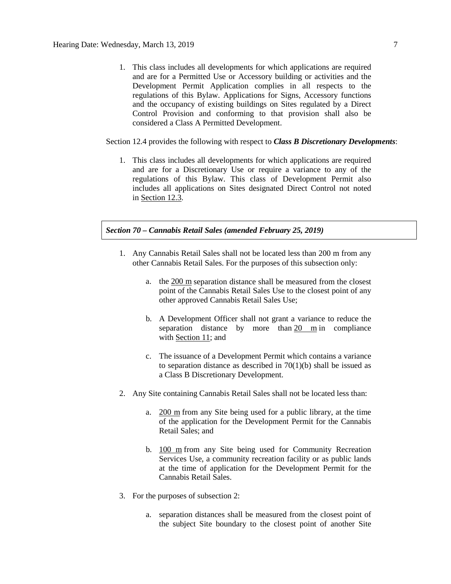1. This class includes all developments for which applications are required and are for a Permitted Use or Accessory building or activities and the Development Permit Application complies in all respects to the regulations of this Bylaw. Applications for Signs, Accessory functions and the occupancy of existing buildings on Sites regulated by a Direct Control Provision and conforming to that provision shall also be considered a Class A Permitted Development.

#### Section 12.4 provides the following with respect to *Class B Discretionary Developments*:

1. This class includes all developments for which applications are required and are for a Discretionary Use or require a variance to any of the regulations of this Bylaw. This class of Development Permit also includes all applications on Sites designated Direct Control not noted in [Section 12.3.](https://webdocs.edmonton.ca/InfraPlan/zoningbylaw/ZoningBylaw/Part1/Administrative/12_3_Class_A_Permitted_Development.htm)

## *Section 70 – Cannabis Retail Sales (amended February 25, 2019)*

- 1. Any Cannabis Retail Sales shall not be located less than 200 m from any other Cannabis Retail Sales. For the purposes of this subsection only:
	- a. the [200 m](javascript:void(0);) separation distance shall be measured from the closest point of the Cannabis Retail Sales Use to the closest point of any other approved Cannabis Retail Sales Use;
	- b. A Development Officer shall not grant a variance to reduce the separation distance by more than  $20 \text{ m}$  in compliance with [Section 11;](https://webdocs.edmonton.ca/InfraPlan/zoningbylaw/ZoningBylaw/Part1/Administrative/11__Authority_and_Responsibility_of_the_Development_Officer.htm) and
	- c. The issuance of a Development Permit which contains a variance to separation distance as described in  $70(1)(b)$  shall be issued as a Class B Discretionary Development.
- 2. Any Site containing Cannabis Retail Sales shall not be located less than:
	- a. [200 m](javascript:void(0);) from any Site being used for a public library, at the time of the application for the Development Permit for the Cannabis Retail Sales; and
	- b. [100 m](javascript:void(0);) from any Site being used for Community Recreation Services Use, a community recreation facility or as public lands at the time of application for the Development Permit for the Cannabis Retail Sales.
- 3. For the purposes of subsection 2:
	- a. separation distances shall be measured from the closest point of the subject Site boundary to the closest point of another Site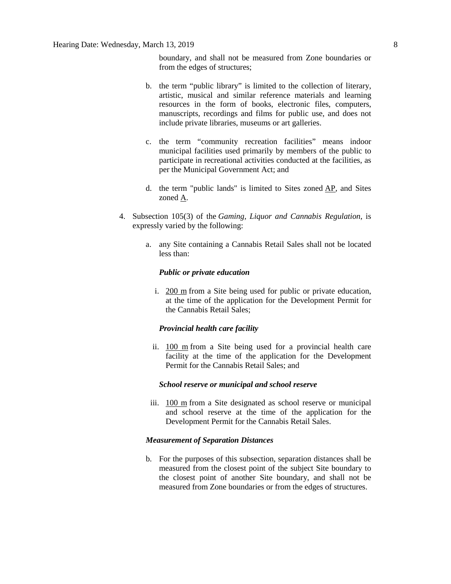## Hearing Date: Wednesday, March 13, 2019 8

boundary, and shall not be measured from Zone boundaries or from the edges of structures;

- b. the term "public library" is limited to the collection of literary, artistic, musical and similar reference materials and learning resources in the form of books, electronic files, computers, manuscripts, recordings and films for public use, and does not include private libraries, museums or art galleries.
- c. the term "community recreation facilities" means indoor municipal facilities used primarily by members of the public to participate in recreational activities conducted at the facilities, as per the Municipal Government Act; and
- d. the term "public lands" is limited to Sites zoned [AP,](https://webdocs.edmonton.ca/InfraPlan/zoningbylaw/ZoningBylaw/Part2/Urban/530_(AP)_Public_Parks_Zone.htm) and Sites zoned [A.](https://webdocs.edmonton.ca/InfraPlan/zoningbylaw/ZoningBylaw/Part2/Urban/540_(A)_Metropolitan_Recreation_Zone.htm)
- 4. Subsection 105(3) of the *Gaming, Liquor and Cannabis Regulation*, is expressly varied by the following:
	- a. any Site containing a Cannabis Retail Sales shall not be located less than:

#### *Public or private education*

i. [200 m](javascript:void(0);) from a Site being used for public or private education, at the time of the application for the Development Permit for the Cannabis Retail Sales;

#### *Provincial health care facility*

ii. [100 m](javascript:void(0);) from a Site being used for a provincial health care facility at the time of the application for the Development Permit for the Cannabis Retail Sales; and

#### *School reserve or municipal and school reserve*

iii. [100 m](javascript:void(0);) from a Site designated as school reserve or municipal and school reserve at the time of the application for the Development Permit for the Cannabis Retail Sales.

#### *Measurement of Separation Distances*

b. For the purposes of this subsection, separation distances shall be measured from the closest point of the subject Site boundary to the closest point of another Site boundary, and shall not be measured from Zone boundaries or from the edges of structures.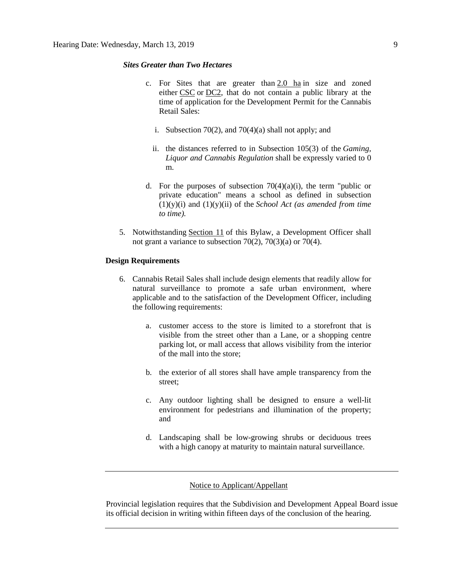### *Sites Greater than Two Hectares*

- c. For Sites that are greater than [2.0 ha](https://webdocs.edmonton.ca/InfraPlan/zoningbylaw/ZoningBylaw/Measurements/ih2.htm) in size and zoned either [CSC](https://webdocs.edmonton.ca/InfraPlan/zoningbylaw/ZoningBylaw/Part2/Commercial/320_(CSC)_Shopping_Centre_Zone.htm) or [DC2,](https://webdocs.edmonton.ca/InfraPlan/zoningbylaw/ZoningBylaw/Part2/Direct/720_(DC2)_Site_Specific_Development_Control_Provision.htm) that do not contain a public library at the time of application for the Development Permit for the Cannabis Retail Sales:
	- i. Subsection 70(2), and 70(4)(a) shall not apply; and
	- ii. the distances referred to in Subsection 105(3) of the *Gaming, Liquor and Cannabis Regulation* shall be expressly varied to 0 m.
- d. For the purposes of subsection  $70(4)(a)(i)$ , the term "public or private education" means a school as defined in subsection (1)(y)(i) and (1)(y)(ii) of the *School Act (as amended from time to time).*
- 5. Notwithstanding [Section 11](https://webdocs.edmonton.ca/InfraPlan/zoningbylaw/ZoningBylaw/Part1/Administrative/11__Authority_and_Responsibility_of_the_Development_Officer.htm) of this Bylaw, a Development Officer shall not grant a variance to subsection 70(2), 70(3)(a) or 70(4).

#### **Design Requirements**

- 6. Cannabis Retail Sales shall include design elements that readily allow for natural surveillance to promote a safe urban environment, where applicable and to the satisfaction of the Development Officer, including the following requirements:
	- a. customer access to the store is limited to a storefront that is visible from the street other than a Lane, or a shopping centre parking lot, or mall access that allows visibility from the interior of the mall into the store;
	- b. the exterior of all stores shall have ample transparency from the street;
	- c. Any outdoor lighting shall be designed to ensure a well-lit environment for pedestrians and illumination of the property; and
	- d. Landscaping shall be low-growing shrubs or deciduous trees with a high canopy at maturity to maintain natural surveillance.

#### Notice to Applicant/Appellant

Provincial legislation requires that the Subdivision and Development Appeal Board issue its official decision in writing within fifteen days of the conclusion of the hearing.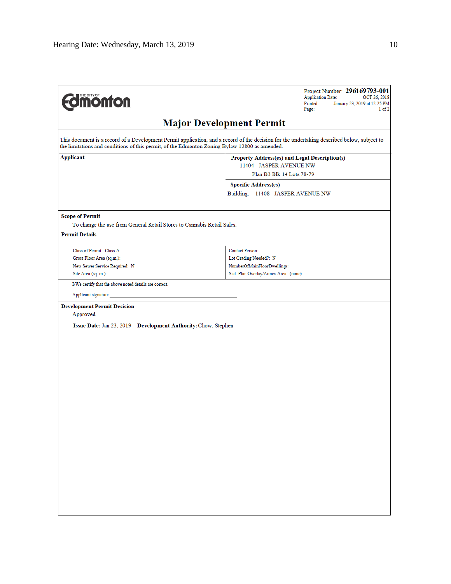| <b>Umonton</b>                                                                                                                                                                                                                               | Project Number: 296169793-001<br><b>Application Date:</b><br>OCT 26, 2018<br>Printed:<br>January 23, 2019 at 12:25 PM<br>Page:<br>$1$ of $2$ |  |  |  |  |  |  |  |  |
|----------------------------------------------------------------------------------------------------------------------------------------------------------------------------------------------------------------------------------------------|----------------------------------------------------------------------------------------------------------------------------------------------|--|--|--|--|--|--|--|--|
| <b>Major Development Permit</b>                                                                                                                                                                                                              |                                                                                                                                              |  |  |  |  |  |  |  |  |
| This document is a record of a Development Permit application, and a record of the decision for the undertaking described below, subject to<br>the limitations and conditions of this permit, of the Edmonton Zoning Bylaw 12800 as amended. |                                                                                                                                              |  |  |  |  |  |  |  |  |
| Applicant                                                                                                                                                                                                                                    | Property Address(es) and Legal Description(s)                                                                                                |  |  |  |  |  |  |  |  |
|                                                                                                                                                                                                                                              | 11404 - JASPER AVENUE NW<br>Plan B3 Blk 14 Lots 78-79                                                                                        |  |  |  |  |  |  |  |  |
|                                                                                                                                                                                                                                              | <b>Specific Address(es)</b>                                                                                                                  |  |  |  |  |  |  |  |  |
|                                                                                                                                                                                                                                              | Building: 11408 - JASPER AVENUE NW                                                                                                           |  |  |  |  |  |  |  |  |
|                                                                                                                                                                                                                                              |                                                                                                                                              |  |  |  |  |  |  |  |  |
| <b>Scope of Permit</b>                                                                                                                                                                                                                       |                                                                                                                                              |  |  |  |  |  |  |  |  |
| To change the use from General Retail Stores to Cannabis Retail Sales.                                                                                                                                                                       |                                                                                                                                              |  |  |  |  |  |  |  |  |
| <b>Permit Details</b>                                                                                                                                                                                                                        |                                                                                                                                              |  |  |  |  |  |  |  |  |
| Class of Permit: Class A                                                                                                                                                                                                                     | <b>Contact Person:</b>                                                                                                                       |  |  |  |  |  |  |  |  |
| Gross Floor Area (sq.m.):                                                                                                                                                                                                                    | Lot Grading Needed?: N                                                                                                                       |  |  |  |  |  |  |  |  |
| New Sewer Service Required: N                                                                                                                                                                                                                | NumberOfMainFloorDwellings:                                                                                                                  |  |  |  |  |  |  |  |  |
| Site Area (sq. m.):                                                                                                                                                                                                                          | Stat. Plan Overlay/Annex Area: (none)                                                                                                        |  |  |  |  |  |  |  |  |
| I/We certify that the above noted details are correct.                                                                                                                                                                                       |                                                                                                                                              |  |  |  |  |  |  |  |  |
| Applicant signature:                                                                                                                                                                                                                         |                                                                                                                                              |  |  |  |  |  |  |  |  |
| Approved<br>Issue Date: Jan 23, 2019 Development Authority: Chow, Stephen                                                                                                                                                                    |                                                                                                                                              |  |  |  |  |  |  |  |  |
|                                                                                                                                                                                                                                              |                                                                                                                                              |  |  |  |  |  |  |  |  |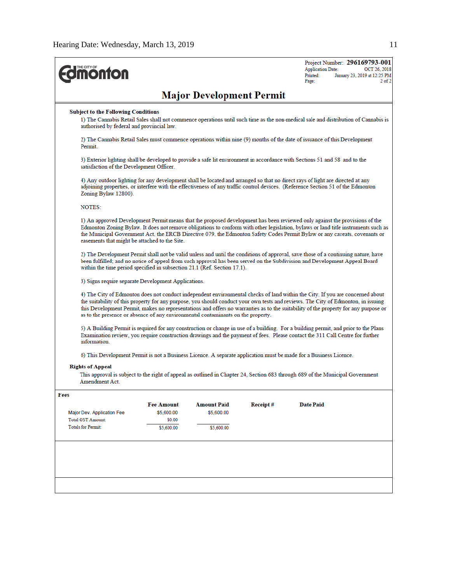| <b>dimonton</b>                                                                                                                                  |                                                                                                                                                                                                                                                                                                                                                                                                                                               |                    |          | <b>Application Date:</b><br>Printed:<br>Page: | Project Number: 296169793-001<br>OCT 26, 2018<br>January 23, 2019 at 12:25 PM<br>$2$ of $2$                                                                                                                                                                                                                                                                                                               |  |  |  |  |  |
|--------------------------------------------------------------------------------------------------------------------------------------------------|-----------------------------------------------------------------------------------------------------------------------------------------------------------------------------------------------------------------------------------------------------------------------------------------------------------------------------------------------------------------------------------------------------------------------------------------------|--------------------|----------|-----------------------------------------------|-----------------------------------------------------------------------------------------------------------------------------------------------------------------------------------------------------------------------------------------------------------------------------------------------------------------------------------------------------------------------------------------------------------|--|--|--|--|--|
| <b>Major Development Permit</b>                                                                                                                  |                                                                                                                                                                                                                                                                                                                                                                                                                                               |                    |          |                                               |                                                                                                                                                                                                                                                                                                                                                                                                           |  |  |  |  |  |
|                                                                                                                                                  | Subject to the Following Conditions<br>1) The Cannabis Retail Sales shall not commence operations until such time as the non-medical sale and distribution of Cannabis is<br>authorised by federal and provincial law.                                                                                                                                                                                                                        |                    |          |                                               |                                                                                                                                                                                                                                                                                                                                                                                                           |  |  |  |  |  |
| Permit.                                                                                                                                          | 2) The Cannabis Retail Sales must commence operations within nine (9) months of the date of issuance of this Development                                                                                                                                                                                                                                                                                                                      |                    |          |                                               |                                                                                                                                                                                                                                                                                                                                                                                                           |  |  |  |  |  |
|                                                                                                                                                  | 3) Exterior lighting shall be developed to provide a safe lit environment in accordance with Sections 51 and 58 and to the<br>satisfaction of the Development Officer.                                                                                                                                                                                                                                                                        |                    |          |                                               |                                                                                                                                                                                                                                                                                                                                                                                                           |  |  |  |  |  |
| Zoning Bylaw 12800).                                                                                                                             | 4) Any outdoor lighting for any development shall be located and arranged so that no direct rays of light are directed at any<br>adjoining properties, or interfere with the effectiveness of any traffic control devices. (Reference Section 51 of the Edmonton                                                                                                                                                                              |                    |          |                                               |                                                                                                                                                                                                                                                                                                                                                                                                           |  |  |  |  |  |
| <b>NOTES:</b>                                                                                                                                    |                                                                                                                                                                                                                                                                                                                                                                                                                                               |                    |          |                                               |                                                                                                                                                                                                                                                                                                                                                                                                           |  |  |  |  |  |
|                                                                                                                                                  | 1) An approved Development Permit means that the proposed development has been reviewed only against the provisions of the<br>Edmonton Zoning Bylaw. It does not remove obligations to conform with other legislation, bylaws or land title instruments such as<br>the Municipal Government Act, the ERCB Directive 079, the Edmonton Safety Codes Permit Bylaw or any caveats, covenants or<br>easements that might be attached to the Site. |                    |          |                                               |                                                                                                                                                                                                                                                                                                                                                                                                           |  |  |  |  |  |
|                                                                                                                                                  | 2) The Development Permit shall not be valid unless and until the conditions of approval, save those of a continuing nature, have<br>been fulfilled; and no notice of appeal from such approval has been served on the Subdivision and Development Appeal Board<br>within the time period specified in subsection 21.1 (Ref. Section 17.1).                                                                                                   |                    |          |                                               |                                                                                                                                                                                                                                                                                                                                                                                                           |  |  |  |  |  |
|                                                                                                                                                  | 3) Signs require separate Development Applications.                                                                                                                                                                                                                                                                                                                                                                                           |                    |          |                                               |                                                                                                                                                                                                                                                                                                                                                                                                           |  |  |  |  |  |
| as to the presence or absence of any environmental contaminants on the property.                                                                 |                                                                                                                                                                                                                                                                                                                                                                                                                                               |                    |          |                                               | 4) The City of Edmonton does not conduct independent environmental checks of land within the City. If you are concerned about<br>the suitability of this property for any purpose, you should conduct your own tests and reviews. The City of Edmonton, in issuing<br>this Development Permit, makes no representations and offers no warranties as to the suitability of the property for any purpose or |  |  |  |  |  |
| Examination review, you require construction drawings and the payment of fees. Please contact the 311 Call Centre for further<br>information.    |                                                                                                                                                                                                                                                                                                                                                                                                                                               |                    |          |                                               | 5) A Building Permit is required for any construction or change in use of a building. For a building permit, and prior to the Plans                                                                                                                                                                                                                                                                       |  |  |  |  |  |
| 6) This Development Permit is not a Business Licence. A separate application must be made for a Business Licence.                                |                                                                                                                                                                                                                                                                                                                                                                                                                                               |                    |          |                                               |                                                                                                                                                                                                                                                                                                                                                                                                           |  |  |  |  |  |
| <b>Rights of Appeal</b>                                                                                                                          |                                                                                                                                                                                                                                                                                                                                                                                                                                               |                    |          |                                               |                                                                                                                                                                                                                                                                                                                                                                                                           |  |  |  |  |  |
| This approval is subject to the right of appeal as outlined in Chapter 24, Section 683 through 689 of the Municipal Government<br>Amendment Act. |                                                                                                                                                                                                                                                                                                                                                                                                                                               |                    |          |                                               |                                                                                                                                                                                                                                                                                                                                                                                                           |  |  |  |  |  |
| Fees                                                                                                                                             |                                                                                                                                                                                                                                                                                                                                                                                                                                               |                    |          |                                               |                                                                                                                                                                                                                                                                                                                                                                                                           |  |  |  |  |  |
|                                                                                                                                                  | <b>Fee Amount</b>                                                                                                                                                                                                                                                                                                                                                                                                                             | <b>Amount Paid</b> | Receipt# | <b>Date Paid</b>                              |                                                                                                                                                                                                                                                                                                                                                                                                           |  |  |  |  |  |
| Major Dev. Application Fee<br><b>Total GST Amount:</b>                                                                                           | \$5,600.00<br>\$0.00                                                                                                                                                                                                                                                                                                                                                                                                                          | \$5,600.00         |          |                                               |                                                                                                                                                                                                                                                                                                                                                                                                           |  |  |  |  |  |
| <b>Totals for Permit:</b>                                                                                                                        | \$5,600.00                                                                                                                                                                                                                                                                                                                                                                                                                                    | \$5,600.00         |          |                                               |                                                                                                                                                                                                                                                                                                                                                                                                           |  |  |  |  |  |
|                                                                                                                                                  |                                                                                                                                                                                                                                                                                                                                                                                                                                               |                    |          |                                               |                                                                                                                                                                                                                                                                                                                                                                                                           |  |  |  |  |  |
|                                                                                                                                                  |                                                                                                                                                                                                                                                                                                                                                                                                                                               |                    |          |                                               |                                                                                                                                                                                                                                                                                                                                                                                                           |  |  |  |  |  |
|                                                                                                                                                  |                                                                                                                                                                                                                                                                                                                                                                                                                                               |                    |          |                                               |                                                                                                                                                                                                                                                                                                                                                                                                           |  |  |  |  |  |
|                                                                                                                                                  |                                                                                                                                                                                                                                                                                                                                                                                                                                               |                    |          |                                               |                                                                                                                                                                                                                                                                                                                                                                                                           |  |  |  |  |  |
|                                                                                                                                                  |                                                                                                                                                                                                                                                                                                                                                                                                                                               |                    |          |                                               |                                                                                                                                                                                                                                                                                                                                                                                                           |  |  |  |  |  |
|                                                                                                                                                  |                                                                                                                                                                                                                                                                                                                                                                                                                                               |                    |          |                                               |                                                                                                                                                                                                                                                                                                                                                                                                           |  |  |  |  |  |